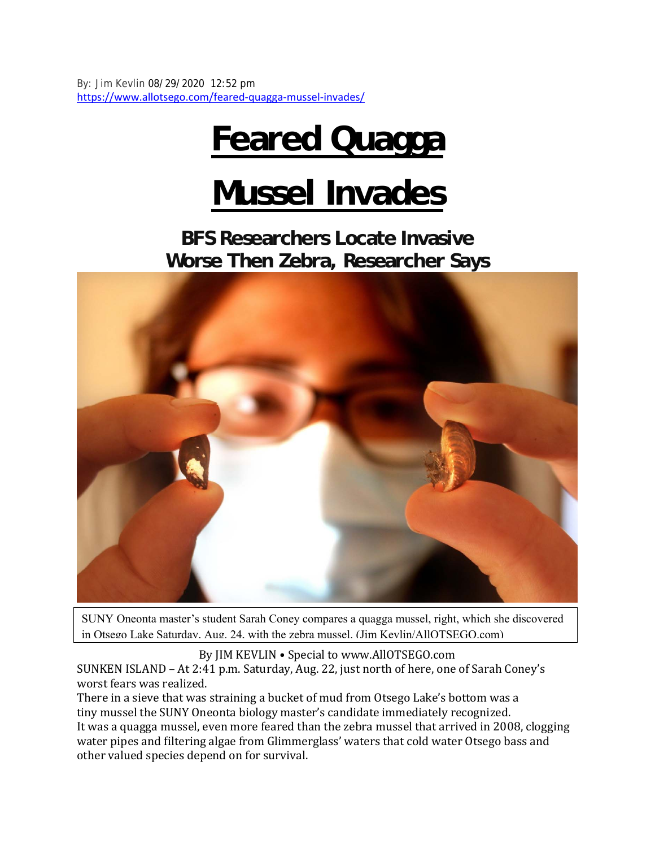By: Jim Kevlin 08/29/2020 12:52 pm https://www.allotsego.com/feared-quagga-mussel-invades/

## **Feared Quagga**

## **Mussel Invades**

**BFS Researchers Locate Invasive Worse Then Zebra, Researcher Says** 



SUNY Oneonta master's student Sarah Coney compares a quagga mussel, right, which she discovered in Otsego Lake Saturday, Aug. 24, with the zebra mussel. (Jim Kevlin/AllOTSEGO.com)

By JIM KEVLIN • Special to www.AllOTSEGO.com

SUNKEN ISLAND – At 2:41 p.m. Saturday, Aug. 22, just north of here, one of Sarah Coney's worst fears was realized.

There in a sieve that was straining a bucket of mud from Otsego Lake's bottom was a tiny mussel the SUNY Oneonta biology master's candidate immediately recognized. It was a quagga mussel, even more feared than the zebra mussel that arrived in 2008, clogging water pipes and filtering algae from Glimmerglass' waters that cold water Otsego bass and other valued species depend on for survival.